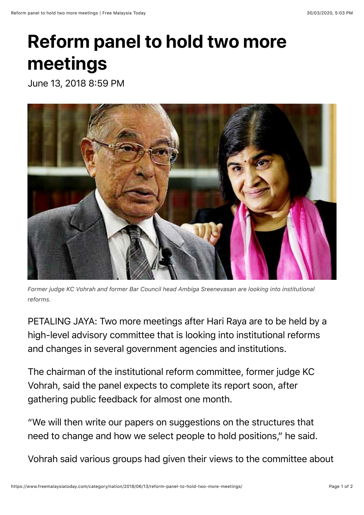## **Reform panel to hold two more meetings**

June 13, 2018 8:59 PM



*Former judge KC Vohrah and former Bar Council head Ambiga Sreenevasan are looking into institutional reforms.*

PETALING JAYA: Two more meetings after Hari Raya are to be held by a high-level advisory committee that is looking into institutional reforms and changes in several government agencies and institutions.

The chairman of the institutional reform committee, former judge KC Vohrah, said the panel expects to complete its report soon, after gathering public feedback for almost one month.

"We will then write our papers on suggestions on the structures that need to change and how we select people to hold positions," he said.

Vohrah said various groups had given their views to the committee about